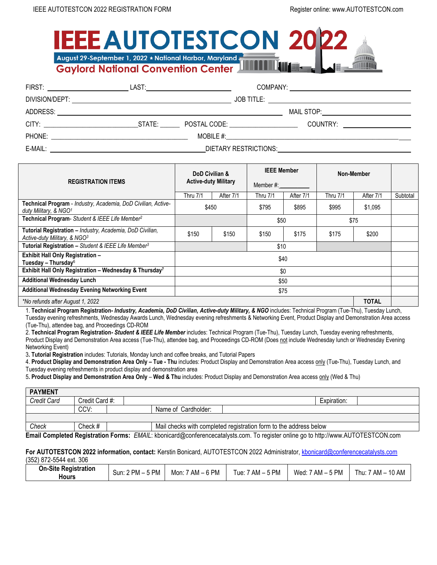## **EEE AUTOTESTCON 20** August 29-September 1, 2022 \* National Harbor, Maryland **THER ATTENT Gaylord National Convention Center**

| FIRST: _______________________                                                                                                    | LAST: _____________________________ |                     |                       |                                            |  |
|-----------------------------------------------------------------------------------------------------------------------------------|-------------------------------------|---------------------|-----------------------|--------------------------------------------|--|
|                                                                                                                                   |                                     |                     |                       |                                            |  |
| ADDRESS:<br><u> 1989 - John Stoff, deutscher Stoff, der Stoff, der Stoff, der Stoff, der Stoff, der Stoff, der Stoff, der Sto</u> |                                     |                     |                       | MAIL STOP: <u>________________________</u> |  |
| <b>CITY: CITY: CITY: CITY:</b>                                                                                                    |                                     | STATE: POSTAL CODE: |                       |                                            |  |
| PHONE:                                                                                                                            |                                     |                     |                       |                                            |  |
| E-MAIL:                                                                                                                           |                                     |                     | DIETARY RESTRICTIONS: |                                            |  |

|                                                                                                    | DoD Civilian &<br><b>Active-duty Military</b> |           | <b>IEEE Member</b><br>Member #: |           | Non-Member |              |          |
|----------------------------------------------------------------------------------------------------|-----------------------------------------------|-----------|---------------------------------|-----------|------------|--------------|----------|
| <b>REGISTRATION ITEMS</b>                                                                          |                                               |           |                                 |           |            |              |          |
|                                                                                                    | <b>Thru 7/1</b>                               | After 7/1 | <b>Thru 7/1</b>                 | After 7/1 | Thru 7/1   | After 7/1    | Subtotal |
| Technical Program - Industry, Academia, DoD Civilian, Active-<br>duty Military, & NGO <sup>1</sup> |                                               | \$450     | \$795                           | \$895     | \$995      | \$1,095      |          |
| Technical Program- Student & IEEE Life Member <sup>2</sup>                                         |                                               |           | \$50                            |           | \$75       |              |          |
| Tutorial Registration - Industry, Academia, DoD Civilian,<br>Active-duty Military, & NGO3          | \$150                                         | \$150     | \$150                           | \$175     | \$175      | \$200        |          |
| Tutorial Registration - Student & IEEE Life Member <sup>3</sup>                                    |                                               |           | \$10                            |           |            |              |          |
| Exhibit Hall Only Registration -<br>Tuesday – Thursday $6$                                         |                                               |           |                                 | \$40      |            |              |          |
| Exhibit Hall Only Registration - Wednesday & Thursday <sup>7</sup>                                 |                                               |           |                                 | \$0       |            |              |          |
| <b>Additional Wednesday Lunch</b>                                                                  |                                               |           |                                 | \$50      |            |              |          |
| <b>Additional Wednesday Evening Networking Event</b>                                               |                                               |           |                                 | \$75      |            |              |          |
| *No refunds after August 1, 2022                                                                   |                                               |           |                                 |           |            | <b>TOTAL</b> |          |

1. **Technical Program Registration-** *Industry, Academia, DoD Civilian, Active-duty Military, & NGO* includes: Technical Program (Tue-Thu), Tuesday Lunch, Tuesday evening refreshments, Wednesday Awards Lunch, Wednesday evening refreshments & Networking Event, Product Display and Demonstration Area access (Tue-Thu), attendee bag, and Proceedings CD-ROM

2. **Technical Program Registration***- Student & IEEE Life Member* includes: Technical Program (Tue-Thu), Tuesday Lunch, Tuesday evening refreshments, Product Display and Demonstration Area access (Tue-Thu), attendee bag, and Proceedings CD-ROM (Does not include Wednesday lunch or Wednesday Evening Networking Event)

3**. Tutorial Registration** includes: Tutorials, Monday lunch and coffee breaks, and Tutorial Papers

4. **Product Display and Demonstration Area Only – Tue - Thu** includes: Product Display and Demonstration Area access only (Tue-Thu), Tuesday Lunch, and Tuesday evening refreshments in product display and demonstration area

5**. Product Display and Demonstration Area Only** – **Wed & Thu** includes: Product Display and Demonstration Area access only (Wed & Thu)

| <b>PAYMENT</b>                                                                                                                       |                |  |  |                                                                   |  |  |             |  |
|--------------------------------------------------------------------------------------------------------------------------------------|----------------|--|--|-------------------------------------------------------------------|--|--|-------------|--|
| <b>Credit Card</b>                                                                                                                   | Credit Card #: |  |  |                                                                   |  |  | Expiration: |  |
|                                                                                                                                      | CCV:           |  |  | Name of Cardholder:                                               |  |  |             |  |
|                                                                                                                                      |                |  |  |                                                                   |  |  |             |  |
| Check                                                                                                                                | Check #        |  |  | Mail checks with completed registration form to the address below |  |  |             |  |
| Email Campleted Desistration Earmer. EMAIL: khopioerd@oopfereneseastelyste.com. To register epline as to http://www.ALITOTECTOON.com |                |  |  |                                                                   |  |  |             |  |

**Email Completed Registration Forms:** *EMAIL*: kbonicard@conferencecatalysts.com. To register online go to http://www.AUTOTESTCON.com

#### **For AUTOTESTCON 2022 information, contact:** Kerstin Bonicard, AUTOTESTCON 2022 Administrator, [kbonicard@conferencecatalysts.com](mailto:kbonicard@conferencecatalysts.com) (352) 872-5544 ext. 306

| <b>On-Site Registration</b><br>`PM – .<br>Sun: 2<br>Hours | 6 PM<br>` PM ⊺<br>$7$ AM $ \sim$<br>Mon: | .s PM<br>Wed:<br>`AM<br>! hu: | 10 AM<br>$AM -$ |
|-----------------------------------------------------------|------------------------------------------|-------------------------------|-----------------|
|-----------------------------------------------------------|------------------------------------------|-------------------------------|-----------------|